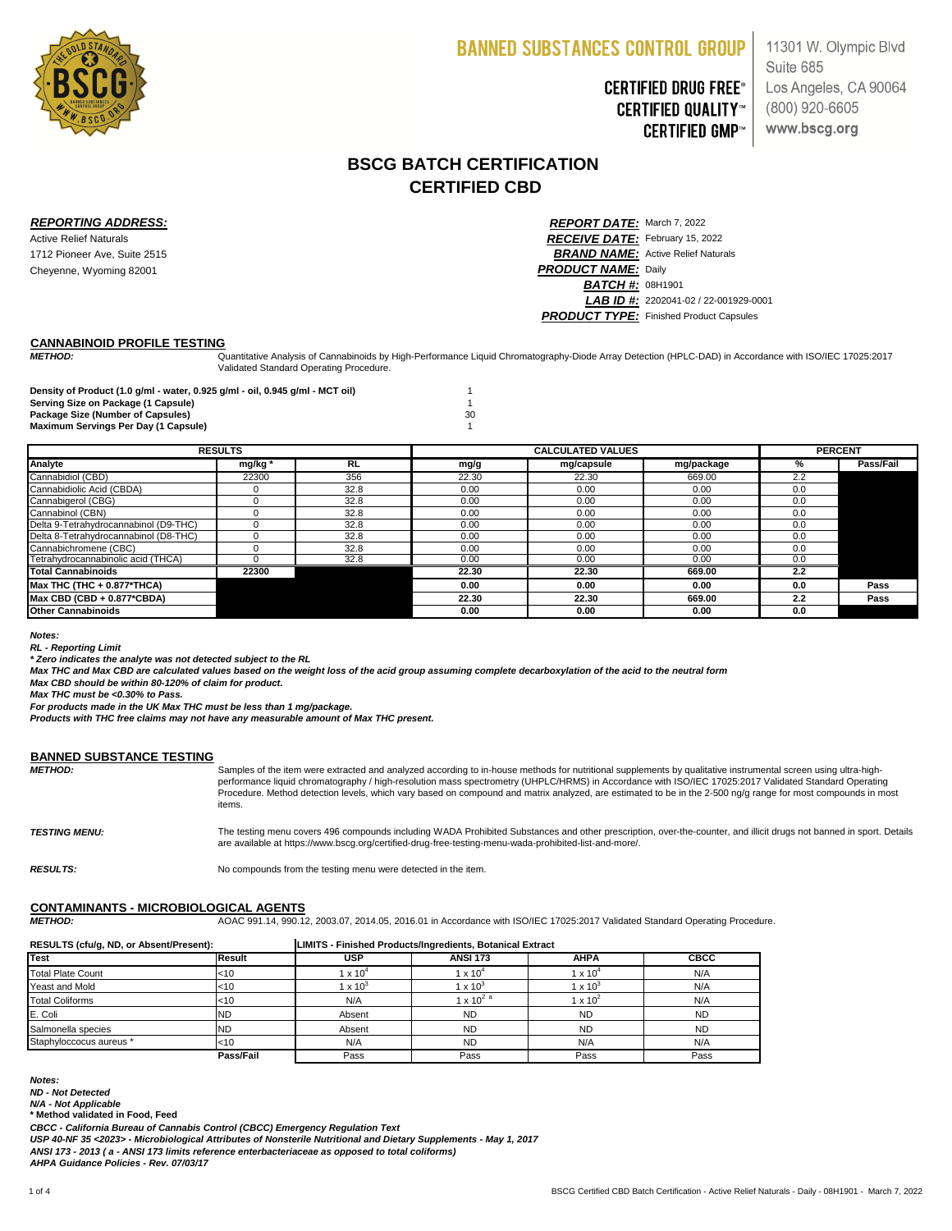

## **CERTIFIED DRUG FREE® CERTIFIED QUALITY™ CERTIFIED GMP™**

11301 W. Olympic Blvd Suite 685 Los Angeles, CA 90064  $(800)$  920-6605 www.bscg.org

### **CANNABINOID PROFILE TESTING**

*METHOD:*

**Density of Product (1.0 g/ml - water, 0.925 g/ml - oil, 0.945 g/ml - MCT oil)** 1 **Serving Size on Package (1 Capsule)** 1 **Package Size (Number of Capsules)** 30 **Maximum Servings Per Day (1 Capsule)** 1

#### *Notes:*

*\* Zero indicates the analyte was not detected subject to the RL*

*Max THC and Max CBD are calculated values based on the weight loss of the acid group assuming complete decarboxylation of the acid to the neutral form*

*Max THC must be <0.30% to Pass.*

*For products made in the UK Max THC must be less than 1 mg/package.*

*Products with THC free claims may not have any measurable amount of Max THC present.*

### **BANNED SUBSTANCE TESTING**

### **CONTAMINANTS - MICROBIOLOGICAL AGENTS**

| <b>RESULTS</b>                        |       |           | <b>CALCULATED VALUES</b> |            |            | <b>PERCENT</b> |                  |
|---------------------------------------|-------|-----------|--------------------------|------------|------------|----------------|------------------|
| <b>Analyte</b>                        | mg/kg | <b>RL</b> | mg/g                     | mg/capsule | mg/package | %              | <b>Pass/Fail</b> |
| Cannabidiol (CBD)                     | 22300 | 356       | 22.30                    | 22.30      | 669.00     | 2.2            |                  |
| Cannabidiolic Acid (CBDA)             |       | 32.8      | 0.00                     | 0.00       | 0.00       | 0.0            |                  |
| Cannabigerol (CBG)                    |       | 32.8      | 0.00                     | 0.00       | 0.00       | 0.0            |                  |
| Cannabinol (CBN)                      |       | 32.8      | 0.00                     | 0.00       | 0.00       | 0.0            |                  |
| Delta 9-Tetrahydrocannabinol (D9-THC) |       | 32.8      | 0.00                     | 0.00       | 0.00       | 0.0            |                  |
| Delta 8-Tetrahydrocannabinol (D8-THC) |       | 32.8      | 0.00                     | 0.00       | 0.00       | 0.0            |                  |
| Cannabichromene (CBC)                 |       | 32.8      | 0.00                     | 0.00       | 0.00       | 0.0            |                  |
| Tetrahydrocannabinolic acid (THCA)    |       | 32.8      | 0.00                     | 0.00       | 0.00       | 0.0            |                  |
| <b>Total Cannabinoids</b>             | 22300 |           | 22.30                    | 22.30      | 669.00     | 2.2            |                  |
| $Max$ THC (THC + 0.877*THCA)          |       |           | 0.00                     | 0.00       | 0.00       | 0.0            | <b>Pass</b>      |
| Max CBD (CBD + 0.877*CBDA)            |       |           | 22.30                    | 22.30      | 669.00     | 2.2            | <b>Pass</b>      |
| <b>Other Cannabinoids</b>             |       |           | 0.00                     | 0.00       | 0.00       | 0.0            |                  |

*METHOD:* AOAC 991.14, 990.12, 2003.07, 2014.05, 2016.01 in Accordance with ISO/IEC 17025:2017 Validated Standard Operating Procedure.

| RESULTS (cfu/g, ND, or Absent/Present): |               |                 | LIMITS - Finished Products/Ingredients, Botanical Extract |                    |             |  |
|-----------------------------------------|---------------|-----------------|-----------------------------------------------------------|--------------------|-------------|--|
| <b>Test</b>                             | <b>Result</b> | <b>USP</b>      | <b>ANSI 173</b>                                           | <b>AHPA</b>        | <b>CBCC</b> |  |
| Total Plate Count                       | $<$ 10        | 1 x 10 $^4$     | 1 x $10^4$                                                | $1 \times 10^{-7}$ | N/A         |  |
| <b>Yeast and Mold</b>                   | <10           | $1 \times 10^3$ | 1 x 10 $3$                                                | 1 x 10 $\degree$   | N/A         |  |
| <b>Total Coliforms</b>                  | $<$ 10        | N/A             | 1 x 10 <sup>2 a</sup>                                     | 1 x 10 $^2$        | N/A         |  |
| E. Coli                                 | <b>ND</b>     | Absent          | <b>ND</b>                                                 | <b>ND</b>          | <b>ND</b>   |  |
| Salmonella species                      | <b>ND</b>     | Absent          | <b>ND</b>                                                 | <b>ND</b>          | <b>ND</b>   |  |
| Staphyloccocus aureus *                 | $<$ 10        | N/A             | <b>ND</b>                                                 | N/A                | N/A         |  |
|                                         | Pass/Fail     | Pass            | Pass                                                      | Pass               | Pass        |  |

*Notes:*

*ND - Not Detected*

*N/A - Not Applicable*

**\* Method validated in Food, Feed**

*USP 40-NF 35 <2023> - Microbiological Attributes of Nonsterile Nutritional and Dietary Supplements - May 1, 2017*

*ANSI 173 - 2013 ( a - ANSI 173 limits reference enterbacteriaceae as opposed to total coliforms)* 

*AHPA Guidance Policies - Rev. 07/03/17*

*CBCC - California Bureau of Cannabis Control (CBCC) Emergency Regulation Text*

| <b>METHOD:</b>              | Samples of the item were extracted and analyzed according to in-house methods for nutritional supplements by qualitative instrumental screen using ultra-high-<br>performance liquid chromatography / high-resolution mass spectrometry (UHPLC/HRMS) in Accordance with ISO/IEC 17025:2017 Validated Standard Operating<br>Procedure. Method detection levels, which vary based on compound and matrix analyzed, are estimated to be in the 2-500 ng/g range for most compounds in most<br>items. |
|-----------------------------|---------------------------------------------------------------------------------------------------------------------------------------------------------------------------------------------------------------------------------------------------------------------------------------------------------------------------------------------------------------------------------------------------------------------------------------------------------------------------------------------------|
| <i><b>TESTING MENU:</b></i> | The testing menu covers 496 compounds including WADA Prohibited Substances and other prescription, over-the-counter, and illicit drugs not banned in sport. Details<br>are available at https://www.bscg.org/certified-drug-free-testing-menu-wada-prohibited-list-and-more/.                                                                                                                                                                                                                     |
| <b>RESULTS:</b>             | No compounds from the testing menu were detected in the item.                                                                                                                                                                                                                                                                                                                                                                                                                                     |

### **BSCG BATCH CERTIFICATION CERTIFIED CBD**

*REPORTING ADDRESS: REPORT DATE:* March 7, 2022 Active Relief Naturals *RECEIVE DATE:* February 15, 2022 1712 Pioneer Ave, Suite 2515 *BRAND NAME:* Active Relief Naturals Cheyenne, Wyoming 82001 *PRODUCT NAME:* Daily **BATCH #: 08H1901** *LAB ID #:* 2202041-02 / 22-001929-0001 **PRODUCT TYPE:** Finished Product Capsules

*RL - Reporting Limit*

Quantitative Analysis of Cannabinoids by High-Performance Liquid Chromatography-Diode Array Detection (HPLC-DAD) in Accordance with ISO/IEC 17025:2017 Validated Standard Operating Procedure.

Samples of the item were extracted and analyzed according to in-house methods for nutritional supplements by qualitative instrumental screen using ultra-high-

*Max CBD should be within 80-120% of claim for product.*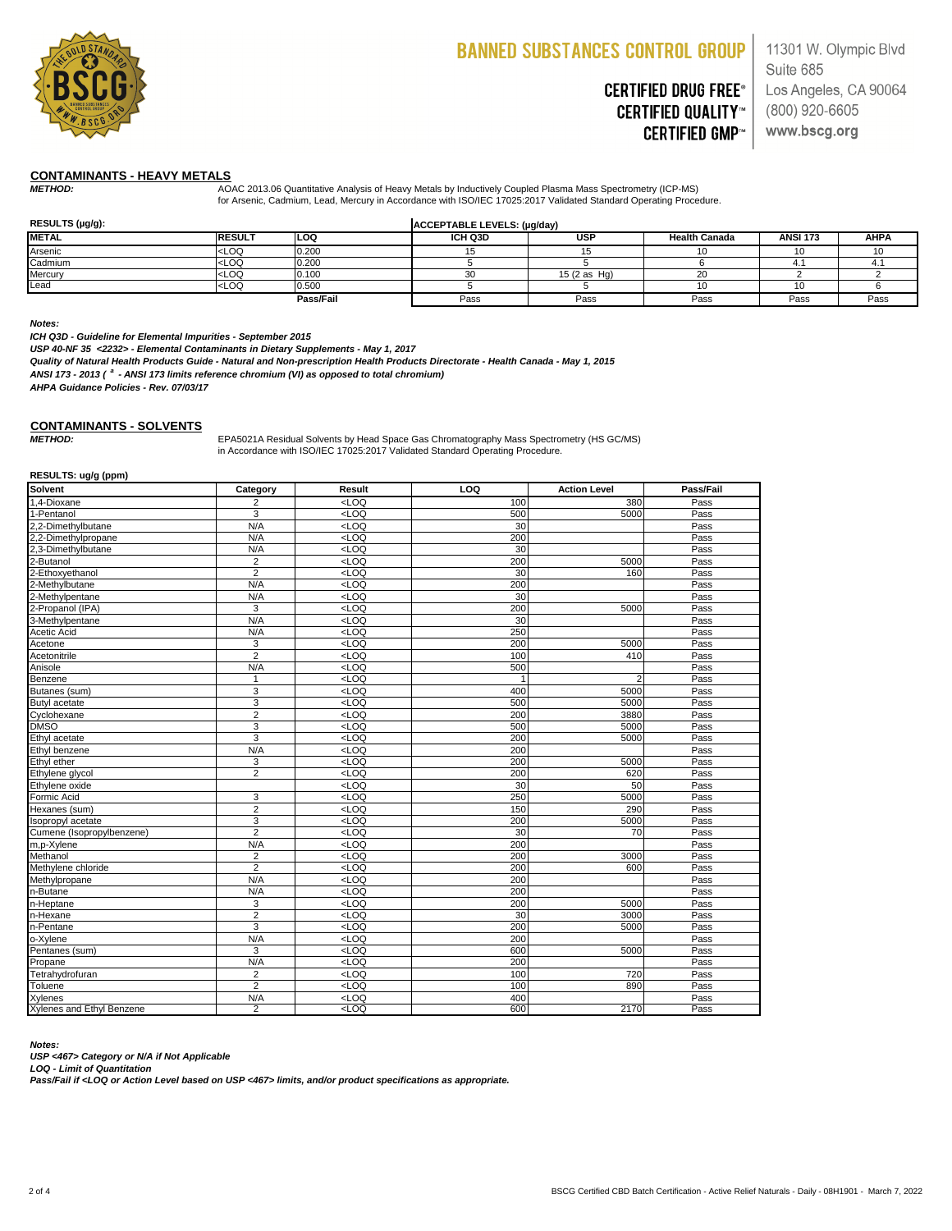

# **CERTIFIED DRUG FREE® CERTIFIED QUALITY™ CERTIFIED GMP™**

11301 W. Olympic Blvd Suite 685 Los Angeles, CA 90064 (800) 920-6605 www.bscg.org

### **CONTAMINANTS - HEAVY METALS**

*METHOD:* AOAC 2013.06 Quantitative Analysis of Heavy Metals by Inductively Coupled Plasma Mass Spectrometry (ICP-MS) for Arsenic, Cadmium, Lead, Mercury in Accordance with ISO/IEC 17025:2017 Validated Standard Operating Procedure.

| RESULTS (µg/g): |                                                                                                                     |                  | ACCEPTABLE LEVELS: (µg/day) |                         |                      |                 |             |
|-----------------|---------------------------------------------------------------------------------------------------------------------|------------------|-----------------------------|-------------------------|----------------------|-----------------|-------------|
| <b>METAL</b>    | <b>RESULT</b>                                                                                                       | <b>LOQ</b>       | ICH Q3D                     | <b>USP</b>              | <b>Health Canada</b> | <b>ANSI 173</b> | <b>AHPA</b> |
| Arsenic         | <loq< td=""><td>0.200</td><td></td><td></td><td>1 C</td><td></td><td></td></loq<>                                   | 0.200            |                             |                         | 1 C                  |                 |             |
| Cadmium         | <loq< td=""><td>0.200</td><td></td><td></td><td></td><td></td><td></td></loq<>                                      | 0.200            |                             |                         |                      |                 |             |
| <b>Mercury</b>  | <loq< td=""><td>0.100</td><td>חר</td><td>15<math>(2 \text{ as } Hg)</math></td><td>20</td><td></td><td></td></loq<> | 0.100            | חר                          | 15 $(2 \text{ as } Hg)$ | 20                   |                 |             |
| Lead            | $<$ LOQ                                                                                                             | 0.500            |                             |                         | 10                   |                 |             |
|                 |                                                                                                                     | <b>Pass/Fail</b> | Pass                        | Pass                    | Pass                 | Pass            | Pass        |

#### *Notes:*

*METHOD:* EPA5021A Residual Solvents by Head Space Gas Chromatography Mass Spectrometry (HS GC/MS) in Accordance with ISO/IEC 17025:2017 Validated Standard Operating Procedure.

*ICH Q3D - Guideline for Elemental Impurities - September 2015*

*USP 40-NF 35 <2232> - Elemental Contaminants in Dietary Supplements - May 1, 2017*

*Quality of Natural Health Products Guide - Natural and Non-prescription Health Products Directorate - Health Canada - May 1, 2015*

*ANSI 173 - 2013 ( <sup>a</sup> - ANSI 173 limits reference chromium (VI) as opposed to total chromium)* 

### **CONTAMINANTS - SOLVENTS**

#### **RESULTS: ug/g (ppm)**

| <b>Solvent</b>                   | Category         | <b>Result</b>                                            | <b>LOQ</b> | <b>Action Level</b> | <b>Pass/Fail</b> |
|----------------------------------|------------------|----------------------------------------------------------|------------|---------------------|------------------|
| 1,4-Dioxane                      | 2                | $<$ LOQ                                                  | 100        | 380                 | Pass             |
| 1-Pentanol                       | $\mathfrak{S}$   | $<$ LOQ                                                  | 500        | 5000                | Pass             |
| 2,2-Dimethylbutane               | N/A              | $<$ LOQ                                                  | 30         |                     | Pass             |
| 2,2-Dimethylpropane              | N/A              | $<$ LOQ                                                  | 200        |                     | Pass             |
| 2,3-Dimethylbutane               | N/A              | $<$ LOQ                                                  | 30         |                     | Pass             |
| 2-Butanol                        | $\overline{2}$   | $<$ LOQ                                                  | 200        | 5000                | Pass             |
| 2-Ethoxyethanol                  | $\overline{2}$   | $<$ LOQ                                                  | 30         | 160                 | Pass             |
| 2-Methylbutane                   | N/A              | $<$ LOQ                                                  | 200        |                     | Pass             |
| 2-Methylpentane                  | N/A              | $<$ LOQ                                                  | 30         |                     | Pass             |
| 2-Propanol (IPA)                 | 3                | $<$ LOQ                                                  | 200        | 5000                | Pass             |
| 3-Methylpentane                  | N/A              | $<$ LOQ                                                  | 30         |                     | Pass             |
| <b>Acetic Acid</b>               | N/A              | $<$ LOQ                                                  | 250        |                     | Pass             |
| Acetone                          | $\mathfrak{S}$   | $<$ LOQ                                                  | 200        | 5000                | Pass             |
| Acetonitrile                     | $\overline{2}$   | $<$ LOQ                                                  | 100        | 410                 | Pass             |
| Anisole                          | N/A              | $<$ LOQ                                                  | 500        |                     | Pass             |
| Benzene                          | 1                | $<$ LOQ                                                  |            | 2 <sup>1</sup>      | Pass             |
| Butanes (sum)                    | 3                | $<$ LOQ                                                  | 400        | 5000                | Pass             |
| <b>Butyl acetate</b>             | 3                | $<$ LOQ                                                  | 500        | 5000                | Pass             |
| Cyclohexane                      | $\overline{2}$   | $<$ LOQ                                                  | 200        | 3880                | Pass             |
| <b>DMSO</b>                      | 3                | $<$ LOQ                                                  | 500        | 5000                | Pass             |
| Ethyl acetate                    | 3                | $<$ LOQ                                                  | 200        | 5000                | Pass             |
| Ethyl benzene                    | N/A              | $<$ LOQ                                                  | 200        |                     | Pass             |
| Ethyl ether                      | 3                | $<$ LOQ                                                  | 200        | 5000                | Pass             |
| Ethylene glycol                  | $\overline{2}$   | $<$ LOQ                                                  | 200        | 620                 | Pass             |
| Ethylene oxide                   |                  | $<$ LOQ                                                  | 30         | 50                  | Pass             |
| Formic Acid                      | 3                | $<$ LOQ                                                  | 250        | 5000                | Pass             |
| Hexanes (sum)                    | $\overline{2}$   | $<$ LOQ                                                  | 150        | 290                 | Pass             |
| Isopropyl acetate                | 3                | $<$ LOQ                                                  | 200        | 5000                | Pass             |
| Cumene (Isopropylbenzene)        | $\overline{2}$   | $<$ LOQ                                                  | 30         | 70                  | Pass             |
| m,p-Xylene                       | N/A              | $<$ LOQ                                                  | 200        |                     | Pass             |
| Methanol                         | $\overline{2}$   | $<$ LOQ                                                  | 200        | 3000                | Pass             |
| Methylene chloride               | 2                | <loq< td=""><td>200</td><td>600</td><td>Pass</td></loq<> | 200        | 600                 | Pass             |
| Methylpropane                    | N/A              | $<$ LOQ                                                  | 200        |                     | Pass             |
| n-Butane                         | N/A              | $<$ LOQ                                                  | 200        |                     | Pass             |
| n-Heptane                        | 3                | $<$ LOQ                                                  | 200        | 5000                | Pass             |
| n-Hexane                         | $\overline{2}$   | $<$ LOQ                                                  | 30         | 3000                | Pass             |
| n-Pentane                        | $\mathfrak{S}$   | $<$ LOQ                                                  | 200        | 5000                | Pass             |
| o-Xylene                         | N/A              | $<$ LOQ                                                  | 200        |                     | Pass             |
| Pentanes (sum)                   | $\mathfrak{B}$   | $<$ LOQ                                                  | 600        | 5000                | Pass             |
| Propane                          | N/A              | $<$ LOQ                                                  | 200        |                     | Pass             |
| Tetrahydrofuran                  | $\boldsymbol{2}$ | $<$ LOQ                                                  | 100        | 720                 | Pass             |
| <b>Toluene</b>                   | $\overline{2}$   | $<$ LOQ                                                  | 100        | 890                 | Pass             |
| <b>Xylenes</b>                   | N/A              | $<$ LOQ                                                  | 400        |                     | Pass             |
| <b>Xylenes and Ethyl Benzene</b> | $\overline{2}$   | LOO                                                      | 600        | 2170                | Pass             |

*Notes:*

*LOQ - Limit of Quantitation*

*AHPA Guidance Policies - Rev. 07/03/17*

*USP <467> Category or N/A if Not Applicable*

*Pass/Fail if <LOQ or Action Level based on USP <467> limits, and/or product specifications as appropriate.*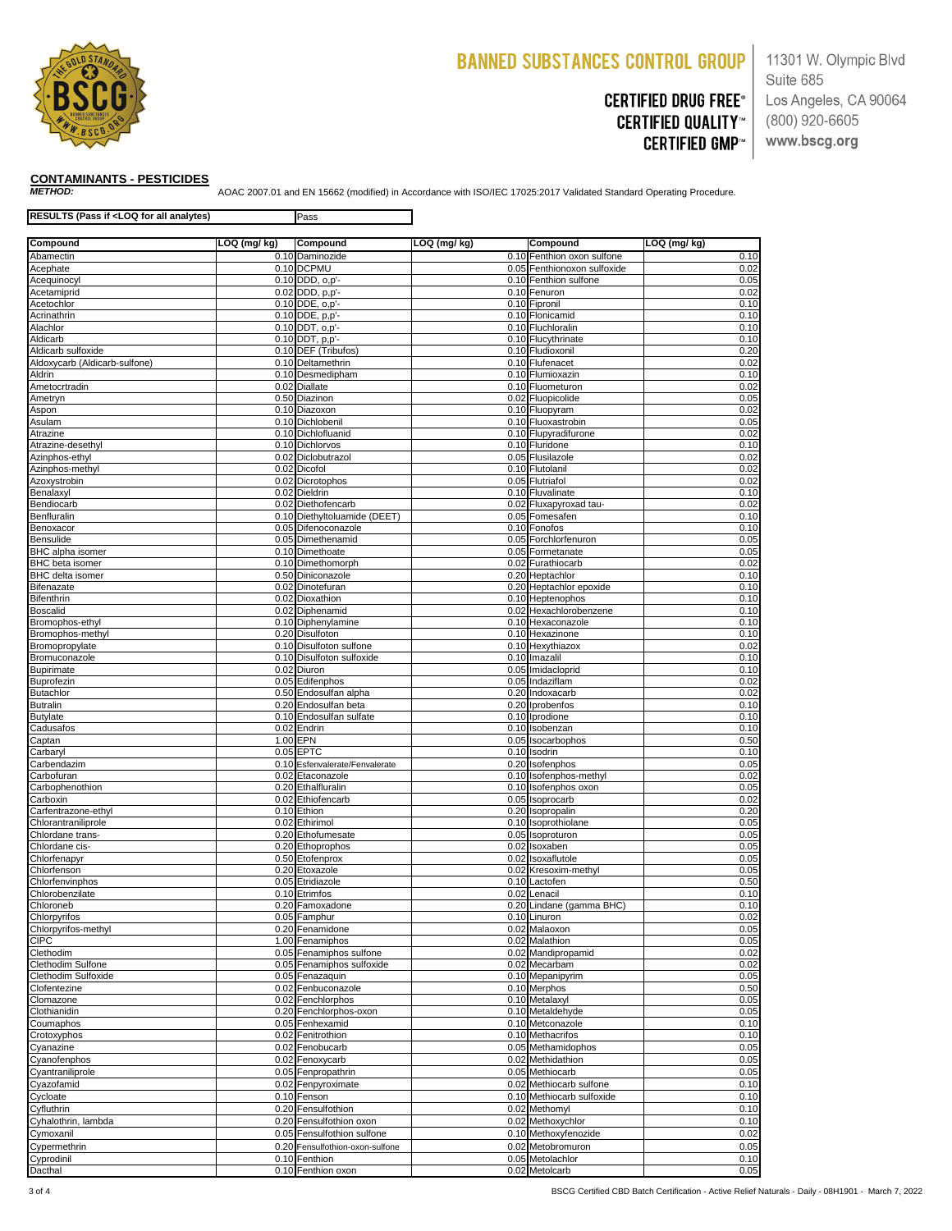

# **CERTIFIED DRUG FREE® CERTIFIED QUALITY™ CERTIFIED GMP™**

11301 W. Olympic Blvd Suite 685 Los Angeles, CA 90064  $(800)$  920-6605 www.bscg.org

*METHOD:* AOAC 2007.01 and EN 15662 (modified) in Accordance with ISO/IEC 17025:2017 Validated Standard Operating Procedure.

| RESULTS (Pass if <loq all="" analytes)<="" for="" th=""><th>Pass</th><th></th><th></th><th></th></loq> |  | Pass                                             |              |                                                 |              |
|--------------------------------------------------------------------------------------------------------|--|--------------------------------------------------|--------------|-------------------------------------------------|--------------|
| LOQ (mg/ kg)<br>Compound                                                                               |  | <b>Compound</b>                                  | LOQ (mg/ kg) | Compound                                        | LOQ (mg/ kg) |
| Abamectin                                                                                              |  | 0.10 Daminozide                                  |              | 0.10 Fenthion oxon sulfone                      | 0.10         |
| Acephate                                                                                               |  | 0.10 DCPMU                                       |              | 0.05 Fenthionoxon sulfoxide                     | 0.02         |
| Acequinocyl                                                                                            |  | $0.10$ DDD, $o, p'$ -                            |              | 0.10 Fenthion sulfone                           | 0.05         |
| Acetamiprid<br>Acetochlor                                                                              |  | $0.02$ DDD, $p, p'$ -<br>$0.10$ DDE, $o, p'$ -   |              | 0.10 Fenuron<br>0.10 Fipronil                   | 0.02<br>0.10 |
| Acrinathrin                                                                                            |  | $0.10$ DDE, $p, p'$ -                            |              | 0.10 Flonicamid                                 | 0.10         |
| Alachlor                                                                                               |  | $0.10$ DDT, $o,p'$ -                             |              | 0.10 Fluchloralin                               | 0.10         |
| Aldicarb                                                                                               |  | $0.10$ DDT, $p, p'$ -                            |              | 0.10 Flucythrinate                              | 0.10         |
| Aldicarb sulfoxide                                                                                     |  | 0.10 DEF (Tribufos)                              |              | 0.10 Fludioxonil                                | 0.20         |
| Aldoxycarb (Aldicarb-sulfone)                                                                          |  | 0.10 Deltamethrin                                |              | 0.10 Flufenacet                                 | 0.02         |
| <b>Aldrin</b>                                                                                          |  | 0.10 Desmedipham                                 |              | 0.10 Flumioxazin                                | 0.10         |
| Ametocrtradin                                                                                          |  | 0.02 Diallate                                    |              | 0.10 Fluometuron                                | 0.02         |
| Ametryn<br>Aspon                                                                                       |  | 0.50 Diazinon<br>0.10 Diazoxon                   |              | 0.02 Fluopicolide<br>0.10 Fluopyram             | 0.05<br>0.02 |
| Asulam                                                                                                 |  | 0.10 Dichlobenil                                 |              | 0.10 Fluoxastrobin                              | 0.05         |
| Atrazine                                                                                               |  | 0.10 Dichlofluanid                               |              | 0.10 Flupyradifurone                            | 0.02         |
| Atrazine-desethyl                                                                                      |  | 0.10 Dichlorvos                                  |              | 0.10 Fluridone                                  | 0.10         |
| Azinphos-ethyl                                                                                         |  | 0.02 Diclobutrazol                               |              | 0.05 Flusilazole                                | 0.02         |
| Azinphos-methyl                                                                                        |  | $0.02$ Dicofol                                   |              | 0.10 Flutolanil                                 | 0.02         |
| Azoxystrobin                                                                                           |  | $\overline{0.02}$ Dicrotophos                    |              | 0.05 Flutriafol                                 | 0.02         |
| Benalaxyl<br>Bendiocarb                                                                                |  | 0.02 Dieldrin<br>0.02 Diethofencarb              |              | 0.10 Fluvalinate<br>0.02 Fluxapyroxad tau-      | 0.10<br>0.02 |
| Benfluralin                                                                                            |  | 0.10 Diethyltoluamide (DEET)                     |              | 0.05 Fomesafen                                  | 0.10         |
| Benoxacor                                                                                              |  | 0.05 Difenoconazole                              |              | 0.10 Fonofos                                    | 0.10         |
| <b>Bensulide</b>                                                                                       |  | 0.05 Dimethenamid                                |              | 0.05 Forchlorfenuron                            | 0.05         |
| <b>BHC</b> alpha isomer                                                                                |  | 0.10 Dimethoate                                  |              | 0.05 Formetanate                                | 0.05         |
| <b>BHC</b> beta isomer                                                                                 |  | 0.10 Dimethomorph                                |              | 0.02 Furathiocarb                               | 0.02         |
| <b>BHC</b> delta isomer                                                                                |  | 0.50 Diniconazole                                |              | 0.20 Heptachlor                                 | 0.10         |
| <b>Bifenazate</b>                                                                                      |  | 0.02 Dinotefuran                                 |              | 0.20 Heptachlor epoxide                         | 0.10         |
| <b>Bifenthrin</b>                                                                                      |  | 0.02 Dioxathion                                  |              | 0.10 Heptenophos                                | 0.10         |
| <b>Boscalid</b><br>Bromophos-ethyl                                                                     |  | 0.02 Diphenamid<br>0.10 Diphenylamine            |              | 0.02 Hexachlorobenzene<br>0.10 Hexaconazole     | 0.10<br>0.10 |
| Bromophos-methyl                                                                                       |  | 0.20 Disulfoton                                  |              | 0.10 Hexazinone                                 | 0.10         |
| Bromopropylate                                                                                         |  | 0.10 Disulfoton sulfone                          |              | 0.10 Hexythiazox                                | 0.02         |
| Bromuconazole                                                                                          |  | 0.10 Disulfoton sulfoxide                        |              | 0.10 Imazalil                                   | 0.10         |
| <b>Bupirimate</b>                                                                                      |  | 0.02 Diuron                                      |              | 0.05 Imidacloprid                               | 0.10         |
| <b>Buprofezin</b>                                                                                      |  | 0.05 Edifenphos                                  |              | 0.05 Indaziflam                                 | 0.02         |
| <b>Butachlor</b>                                                                                       |  | 0.50 Endosulfan alpha                            |              | 0.20 Indoxacarb                                 | 0.02         |
| <b>Butralin</b><br><b>Butylate</b>                                                                     |  | 0.20 Endosulfan beta<br>0.10 Endosulfan sulfate  |              | 0.20 Iprobenfos<br>0.10 Iprodione               | 0.10<br>0.10 |
| Cadusafos                                                                                              |  | 0.02 Endrin                                      |              | 0.10 Isobenzan                                  | 0.10         |
| Captan                                                                                                 |  | 1.00 EPN                                         |              | 0.05 Isocarbophos                               | 0.50         |
| Carbaryl                                                                                               |  | $0.05$ EPTC                                      |              | 0.10 Isodrin                                    | 0.10         |
| Carbendazim                                                                                            |  | 0.10 Esfenvalerate/Fenvalerate                   |              | 0.20 Isofenphos                                 | 0.05         |
| Carbofuran                                                                                             |  | 0.02 Etaconazole                                 |              | 0.10 Isofenphos-methyl                          | 0.02         |
| Carbophenothion                                                                                        |  | 0.20 Ethalfluralin                               |              | 0.10 Isofenphos oxon                            | 0.05         |
| Carboxin<br>Carfentrazone-ethyl                                                                        |  | 0.02 Ethiofencarb<br>0.10 Ethion                 |              | 0.05 Isoprocarb<br>0.20 Isopropalin             | 0.02<br>0.20 |
| Chlorantraniliprole                                                                                    |  | 0.02 Ethirimol                                   |              | 0.10 Isoprothiolane                             | 0.05         |
| Chlordane trans-                                                                                       |  | 0.20 Ethofumesate                                |              | 0.05 Isoproturon                                | 0.05         |
| Chlordane cis-                                                                                         |  | 0.20 Ethoprophos                                 |              | $\overline{0.02}$ Isoxaben                      | 0.05         |
| Chlorfenapyr                                                                                           |  | 0.50 Etofenprox                                  |              | 0.02 Isoxaflutole                               | 0.05         |
| Chlorfenson                                                                                            |  | 0.20 Etoxazole                                   |              | 0.02 Kresoxim-methyl                            | 0.05         |
| Chlorfenvinphos                                                                                        |  | 0.05 Etridiazole                                 |              | 0.10 Lactofen                                   | 0.50         |
| Chlorobenzilate<br>Chloroneb                                                                           |  | 0.10 Etrimfos<br>0.20 Famoxadone                 |              | 0.02 Lenacil<br>0.20 Lindane (gamma BHC)        | 0.10<br>0.10 |
| Chlorpyrifos                                                                                           |  | 0.05 Famphur                                     |              | 0.10 Linuron                                    | 0.02         |
| Chlorpyrifos-methyl                                                                                    |  | 0.20 Fenamidone                                  |              | 0.02 Malaoxon                                   | 0.05         |
| <b>CIPC</b>                                                                                            |  | 1.00 Fenamiphos                                  |              | 0.02 Malathion                                  | 0.05         |
| Clethodim                                                                                              |  | 0.05 Fenamiphos sulfone                          |              | 0.02 Mandipropamid                              | 0.02         |
| <b>Clethodim Sulfone</b>                                                                               |  | 0.05 Fenamiphos sulfoxide                        |              | 0.02 Mecarbam                                   | 0.02         |
| <b>Clethodim Sulfoxide</b>                                                                             |  | 0.05 Fenazaquin                                  |              | 0.10 Mepanipyrim                                | 0.05         |
| Clofentezine                                                                                           |  | 0.02 Fenbuconazole                               |              | 0.10 Merphos                                    | 0.50         |
| Clomazone<br>Clothianidin                                                                              |  | 0.02 Fenchlorphos<br>0.20 Fenchlorphos-oxon      |              | $\overline{0.10}$ Metalaxyl<br>0.10 Metaldehyde | 0.05<br>0.05 |
| Coumaphos                                                                                              |  | 0.05 Fenhexamid                                  |              | 0.10 Metconazole                                | 0.10         |
| Crotoxyphos                                                                                            |  | 0.02 Fenitrothion                                |              | 0.10 Methacrifos                                | 0.10         |
| Cyanazine                                                                                              |  | 0.02 Fenobucarb                                  |              | 0.05 Methamidophos                              | 0.05         |
| Cyanofenphos                                                                                           |  | 0.02 Fenoxycarb                                  |              | 0.02 Methidathion                               | 0.05         |
| Cyantraniliprole                                                                                       |  | 0.05 Fenpropathrin                               |              | 0.05 Methiocarb                                 | 0.05         |
| Cyazofamid                                                                                             |  | 0.02 Fenpyroximate                               |              | 0.02 Methiocarb sulfone                         | 0.10         |
| Cycloate                                                                                               |  | 0.10 Fenson                                      |              | 0.10 Methiocarb sulfoxide                       | 0.10         |
| Cyfluthrin                                                                                             |  | 0.20 Fensulfothion                               |              | 0.02 Methomyl                                   | 0.10         |
| Cyhalothrin, lambda                                                                                    |  | 0.20 Fensulfothion oxon                          |              | 0.02 Methoxychlor                               | 0.10         |
| Cymoxanil                                                                                              |  | 0.05 Fensulfothion sulfone                       |              | 0.10 Methoxyfenozide                            | 0.02         |
| Cypermethrin                                                                                           |  | 0.20 Fensulfothion-oxon-sulfone<br>0.10 Fenthion |              | 0.02 Metobromuron<br>0.05 Metolachlor           | 0.05<br>0.10 |
| Cyprodinil<br>Dacthal                                                                                  |  | 0.10 Fenthion oxon                               |              | 0.02 Metolcarb                                  | 0.05         |

# **CONTAMINANTS - PESTICIDES**